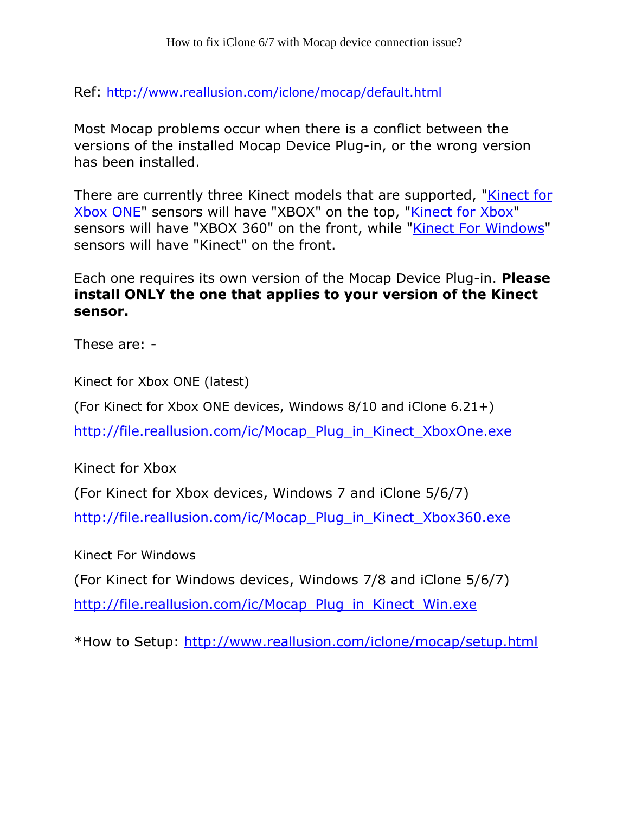Ref: <http://www.reallusion.com/iclone/mocap/default.html>

Most Mocap problems occur when there is a conflict between the versions of the installed Mocap Device Plug-in, or the wrong version has been installed.

There are currently three Kinect models that are supported[, "Kinect](http://www.microsoftstore.com/store/msusa/en_US/pdp/Kinect-for-Xbox-One/productID.307499400) [for](http://www.microsoftstore.com/store/msusa/en_US/pdp/Kinect-for-Xbox-One/productID.307499400) [Xbox](http://www.xbox.com/en-US/xbox-360/accessories/kinect) [ONE](http://www.microsoftstore.com/store/msusa/en_US/pdp/Kinect-for-Xbox-One/productID.307499400)" sensors will have "XBOX" on the top[, "Kinect](http://www.xbox.com/en-US/xbox-360/accessories/kinect) [for](http://www.xbox.com/en-US/xbox-360/accessories/kinect) Xbox" sensors will have "XBOX 360" on the front, whil[e "Kinect](http://www.amazon.com/Microsoft-L6M-00001-Kinect-for-Windows/dp/B006UIS53K) [For](http://www.amazon.com/Microsoft-L6M-00001-Kinect-for-Windows/dp/B006UIS53K) [Windows](http://www.amazon.com/Microsoft-L6M-00001-Kinect-for-Windows/dp/B006UIS53K)" sensors will have "Kinect" on the front.

Each one requires its own version of the Mocap Device Plug-in. Please install ONLY the one that applies to your version of the Kinect sensor.

These are: -

Kinect for Xbox ONE (latest)

(For Kinect for Xbox ONE devices, Windows 8/10 and iClone 6.21+)

[http://file.reallusion.com/ic/Mocap\\_Plug\\_in\\_Kinect\\_XboxOne.exe](http://file.reallusion.com/ic/Mocap_Plug_in_Kinect_XboxOne.exe)

Kinect for Xbox

(For Kinect for Xbox devices, Windows 7 and iClone 5/6/7)

[http://file.reallusion.com/ic/Mocap\\_Plug\\_in\\_Kinect\\_Xbox360.exe](http://file.reallusion.com/ic/Mocap_Plug_in_Kinect_Xbox360.exe)

Kinect For Windows

(For Kinect for Windows devices, Windows 7/8 and iClone 5/6/7)

[http://file.reallusion.com/ic/Mocap\\_Plug\\_in\\_Kinect\\_Win.exe](http://file.reallusion.com/ic/Mocap_Plug_in_Kinect_Win.exe)

\*How to Setup: <http://www.reallusion.com/iclone/mocap/setup.html>